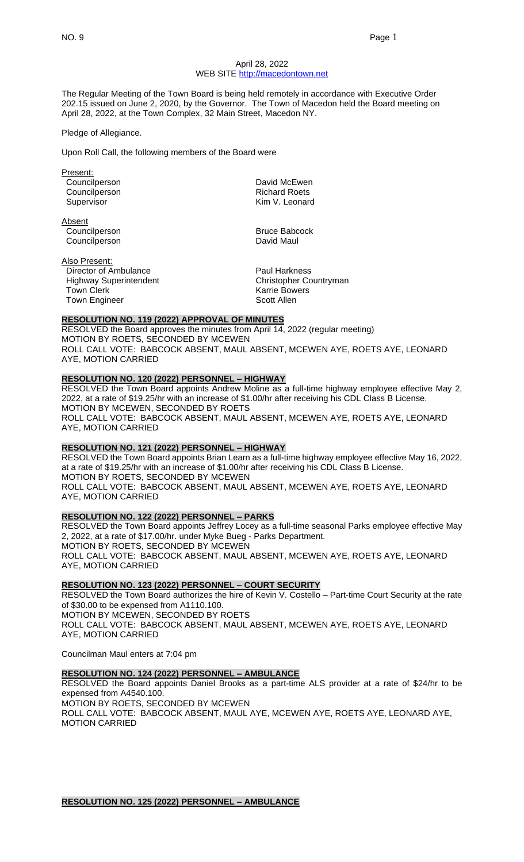### April 28, 2022 WEB SITE [http://macedontown.net](http://macedontown.net/)

The Regular Meeting of the Town Board is being held remotely in accordance with Executive Order 202.15 issued on June 2, 2020, by the Governor. The Town of Macedon held the Board meeting on April 28, 2022, at the Town Complex, 32 Main Street, Macedon NY.

### Pledge of Allegiance.

Upon Roll Call, the following members of the Board were

Present:

Absent **Councilperson Bruce Babcock** Councilperson **David Maul** 

Also Present: Director of Ambulance **Paul Harkness** Highway Superintendent Christopher Countryman<br>
Town Clerk Christopher Countryman<br>
Karrie Bowers Town Engineer Scott Allen

Councilperson **David McEwen** Councilperson **Richard Roets** Richard Roets Supervisor **Kim V. Leonard** 

Karrie Bowers

# **RESOLUTION NO. 119 (2022) APPROVAL OF MINUTES**

RESOLVED the Board approves the minutes from April 14, 2022 (regular meeting) MOTION BY ROETS, SECONDED BY MCEWEN ROLL CALL VOTE: BABCOCK ABSENT, MAUL ABSENT, MCEWEN AYE, ROETS AYE, LEONARD AYE, MOTION CARRIED

# **RESOLUTION NO. 120 (2022) PERSONNEL – HIGHWAY**

RESOLVED the Town Board appoints Andrew Moline as a full-time highway employee effective May 2, 2022, at a rate of \$19.25/hr with an increase of \$1.00/hr after receiving his CDL Class B License. MOTION BY MCEWEN, SECONDED BY ROETS ROLL CALL VOTE: BABCOCK ABSENT, MAUL ABSENT, MCEWEN AYE, ROETS AYE, LEONARD AYE, MOTION CARRIED

## **RESOLUTION NO. 121 (2022) PERSONNEL – HIGHWAY**

RESOLVED the Town Board appoints Brian Learn as a full-time highway employee effective May 16, 2022, at a rate of \$19.25/hr with an increase of \$1.00/hr after receiving his CDL Class B License. MOTION BY ROETS, SECONDED BY MCEWEN ROLL CALL VOTE: BABCOCK ABSENT, MAUL ABSENT, MCEWEN AYE, ROETS AYE, LEONARD AYE, MOTION CARRIED

# **RESOLUTION NO. 122 (2022) PERSONNEL – PARKS**

RESOLVED the Town Board appoints Jeffrey Locey as a full-time seasonal Parks employee effective May 2, 2022, at a rate of \$17.00/hr. under Myke Bueg - Parks Department. MOTION BY ROETS, SECONDED BY MCEWEN ROLL CALL VOTE: BABCOCK ABSENT, MAUL ABSENT, MCEWEN AYE, ROETS AYE, LEONARD AYE, MOTION CARRIED

## **RESOLUTION NO. 123 (2022) PERSONNEL – COURT SECURITY**

RESOLVED the Town Board authorizes the hire of Kevin V. Costello – Part-time Court Security at the rate of \$30.00 to be expensed from A1110.100. MOTION BY MCEWEN, SECONDED BY ROETS ROLL CALL VOTE: BABCOCK ABSENT, MAUL ABSENT, MCEWEN AYE, ROETS AYE, LEONARD AYE, MOTION CARRIED

Councilman Maul enters at 7:04 pm

## **RESOLUTION NO. 124 (2022) PERSONNEL – AMBULANCE**

RESOLVED the Board appoints Daniel Brooks as a part-time ALS provider at a rate of \$24/hr to be expensed from A4540.100. MOTION BY ROETS, SECONDED BY MCEWEN ROLL CALL VOTE: BABCOCK ABSENT, MAUL AYE, MCEWEN AYE, ROETS AYE, LEONARD AYE, MOTION CARRIED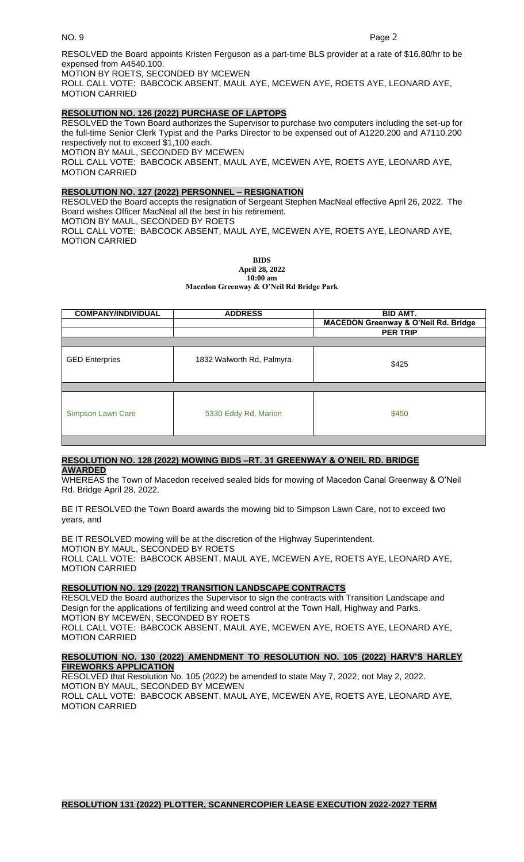MOTION CARRIED

RESOLVED the Board appoints Kristen Ferguson as a part-time BLS provider at a rate of \$16.80/hr to be expensed from A4540.100.

MOTION BY ROETS, SECONDED BY MCEWEN

ROLL CALL VOTE: BABCOCK ABSENT, MAUL AYE, MCEWEN AYE, ROETS AYE, LEONARD AYE, MOTION CARRIED

# **RESOLUTION NO. 126 (2022) PURCHASE OF LAPTOPS**

RESOLVED the Town Board authorizes the Supervisor to purchase two computers including the set-up for the full-time Senior Clerk Typist and the Parks Director to be expensed out of A1220.200 and A7110.200 respectively not to exceed \$1,100 each. MOTION BY MAUL, SECONDED BY MCEWEN ROLL CALL VOTE: BABCOCK ABSENT, MAUL AYE, MCEWEN AYE, ROETS AYE, LEONARD AYE, MOTION CARRIED

# **RESOLUTION NO. 127 (2022) PERSONNEL – RESIGNATION**

RESOLVED the Board accepts the resignation of Sergeant Stephen MacNeal effective April 26, 2022. The Board wishes Officer MacNeal all the best in his retirement. MOTION BY MAUL, SECONDED BY ROETS ROLL CALL VOTE: BABCOCK ABSENT, MAUL AYE, MCEWEN AYE, ROETS AYE, LEONARD AYE,

> **BIDS April 28, 2022**

**10:00 am Macedon Greenway & O'Neil Rd Bridge Park**

| <b>COMPANY/INDIVIDUAL</b> | <b>ADDRESS</b>            | <b>BID AMT.</b><br><b>MACEDON Greenway &amp; O'Neil Rd. Bridge</b><br><b>PER TRIP</b> |
|---------------------------|---------------------------|---------------------------------------------------------------------------------------|
| <b>GED Enterpries</b>     | 1832 Walworth Rd, Palmyra | \$425                                                                                 |
| Simpson Lawn Care         | 5330 Eddy Rd, Marion      | \$450                                                                                 |

### **RESOLUTION NO. 128 (2022) MOWING BIDS –RT. 31 GREENWAY & O'NEIL RD. BRIDGE AWARDED**

WHEREAS the Town of Macedon received sealed bids for mowing of Macedon Canal Greenway & O'Neil Rd. Bridge April 28, 2022.

BE IT RESOLVED the Town Board awards the mowing bid to Simpson Lawn Care, not to exceed two years, and

BE IT RESOLVED mowing will be at the discretion of the Highway Superintendent. MOTION BY MAUL, SECONDED BY ROETS ROLL CALL VOTE: BABCOCK ABSENT, MAUL AYE, MCEWEN AYE, ROETS AYE, LEONARD AYE, MOTION CARRIED

# **RESOLUTION NO. 129 (2022) TRANSITION LANDSCAPE CONTRACTS**

RESOLVED the Board authorizes the Supervisor to sign the contracts with Transition Landscape and Design for the applications of fertilizing and weed control at the Town Hall, Highway and Parks. MOTION BY MCEWEN, SECONDED BY ROETS

ROLL CALL VOTE: BABCOCK ABSENT, MAUL AYE, MCEWEN AYE, ROETS AYE, LEONARD AYE, MOTION CARRIED

## **RESOLUTION NO. 130 (2022) AMENDMENT TO RESOLUTION NO. 105 (2022) HARV'S HARLEY FIREWORKS APPLICATION**

RESOLVED that Resolution No. 105 (2022) be amended to state May 7, 2022, not May 2, 2022. MOTION BY MAUL, SECONDED BY MCEWEN ROLL CALL VOTE: BABCOCK ABSENT, MAUL AYE, MCEWEN AYE, ROETS AYE, LEONARD AYE, MOTION CARRIED